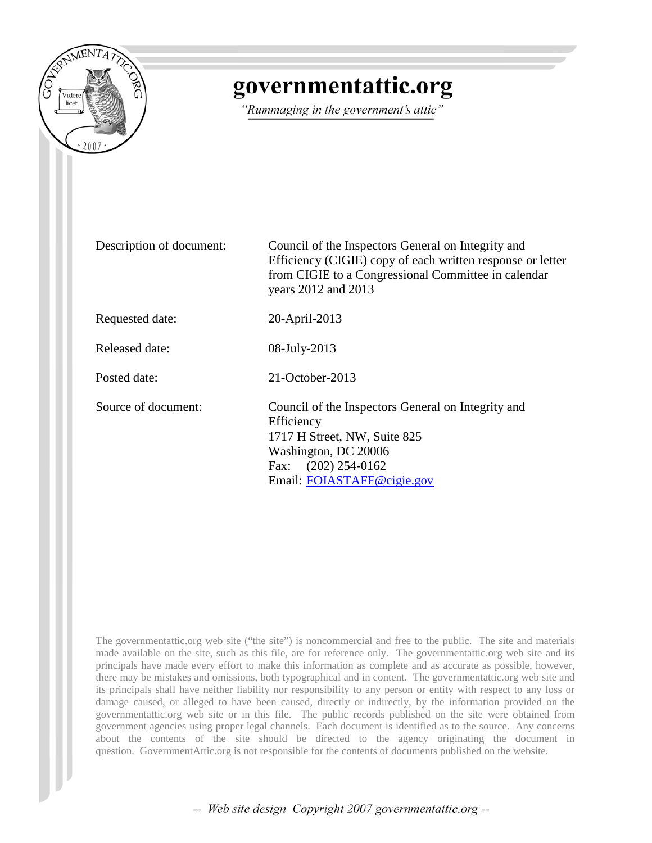

## governmentattic.org

"Rummaging in the government's attic"

Description of document: Council of the Inspectors General on Integrity and Efficiency (CIGIE) copy of each written response or letter from CIGIE to a Congressional Committee in calendar years 2012 and 2013 Requested date: 20-April-2013 Released date: 08-July-2013 Posted date: 21-October-2013 Source of document: Council of the Inspectors General on Integrity and **Efficiency** 1717 H Street, NW, Suite 825 Washington, DC 20006 Fax: (202) 254-0162 Email: [FOIASTAFF@cigie.gov](mailto:FOIASTAFF@cigie.gov)

The governmentattic.org web site ("the site") is noncommercial and free to the public. The site and materials made available on the site, such as this file, are for reference only. The governmentattic.org web site and its principals have made every effort to make this information as complete and as accurate as possible, however, there may be mistakes and omissions, both typographical and in content. The governmentattic.org web site and its principals shall have neither liability nor responsibility to any person or entity with respect to any loss or damage caused, or alleged to have been caused, directly or indirectly, by the information provided on the governmentattic.org web site or in this file. The public records published on the site were obtained from government agencies using proper legal channels. Each document is identified as to the source. Any concerns about the contents of the site should be directed to the agency originating the document in question. GovernmentAttic.org is not responsible for the contents of documents published on the website.

-- Web site design Copyright 2007 governmentattic.org --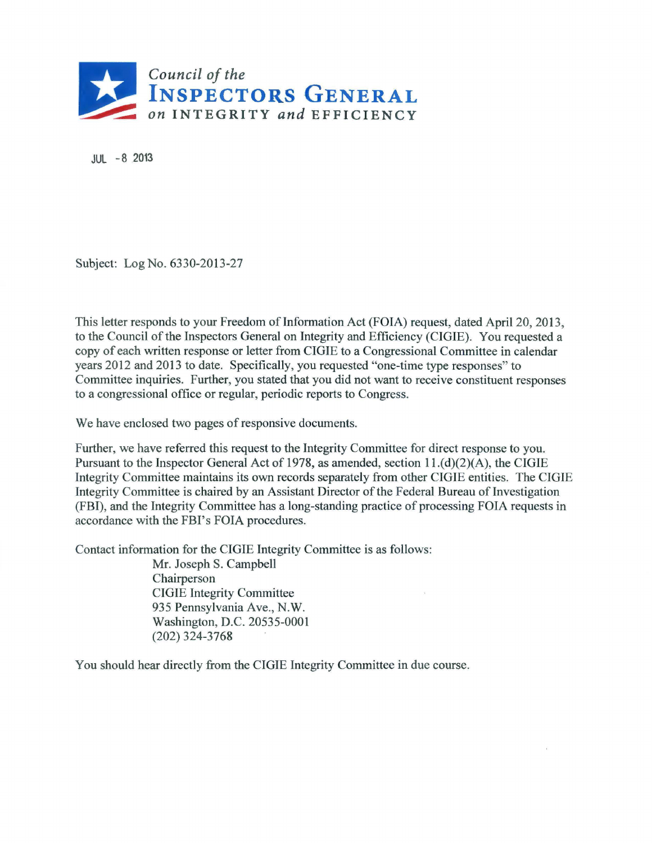

JUL -8 2013

Subject: Log No. 6330-2013-27

This letter responds to your Freedom of Information Act (FOIA) request, dated April 20, 2013, to the Council of the Inspectors General on Integrity and Efficiency (CIGIE). You requested a copy of each written response or letter from CIGIE to a Congressional Committee in calendar years 2012 and 2013 to date. Specifically, you requested "one-time type responses" to Committee inquiries. Further, you stated that you did not want to receive constituent responses to a congressional office or regular, periodic reports to Congress.

We have enclosed two pages of responsive documents.

Further, we have referred this request to the Integrity Committee for direct response to you. Pursuant to the Inspector General Act of 1978, as amended, section 11.(d)(2)(A), the CIGIE Integrity Committee maintains its own records separately from other CIGIE entities. The CIGIE Integrity Committee is chaired by an Assistant Director of the Federal Bureau of Investigation (FBI), and the Integrity Committee has a long-standing practice of processing FOIA requests in accordance with the FBI's FOIA procedures.

Contact information for the CIGIE Integrity Committee is as follows:

Mr. Joseph S. Campbell Chairperson CIGIE Integrity Committee 935 Pennsylvania Ave., N.W. Washington, D.C. 20535-0001 (202) 324-3768

You should hear directly from the CIGIE Integrity Committee in due course.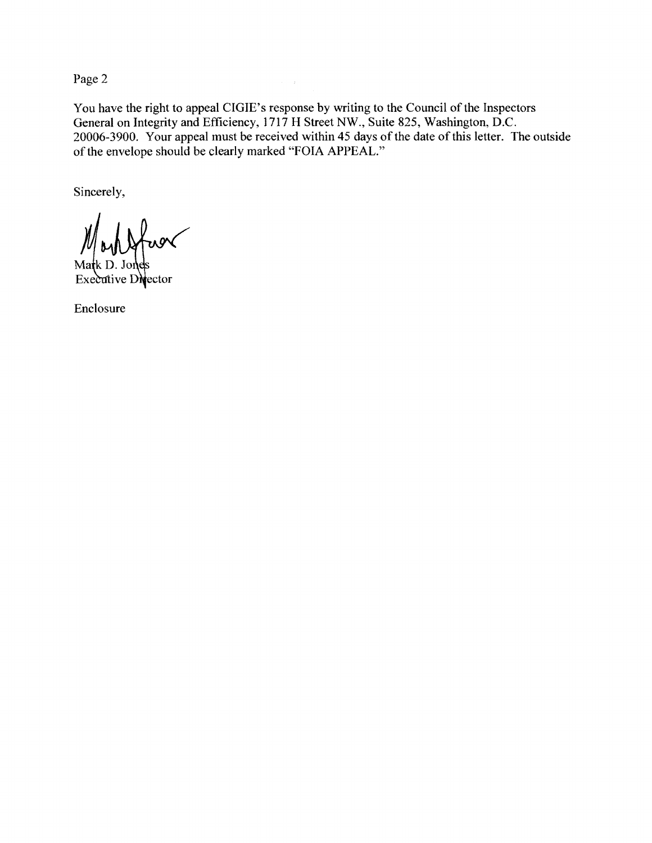Page 2

You have the right to appeal CIGIE's response by writing to the Council of the Inspectors General on Integrity and Efficiency, 1717 H Street NW., Suite 825, Washington, D.C. 20006-3900. Your appeal must be received within 45 days of the date of this letter. The outside of the envelope should be clearly marked "FOIA APPEAL."

Sincerely,

Ma k D. Jones Executive Director

Enclosure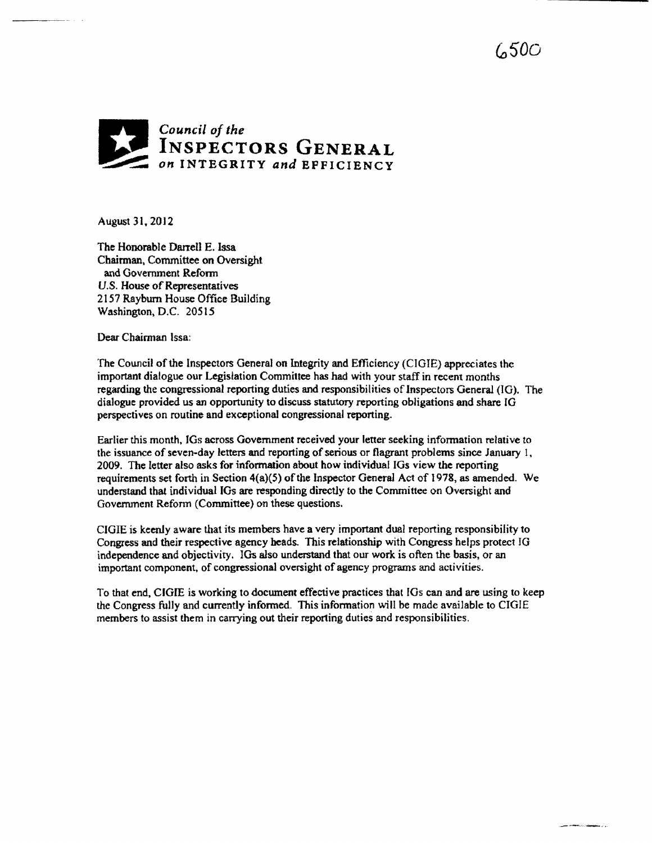## *Council of the*  **INSPECTORS GENERAL COMPUTE** *on INTEGRITY and EFFICIENCY*

August 31. 2012

The Honorable Darrell E. Issa Chairman, Committee on Oversight and Government Refonn U.S. House of Representatives 2157 Rayburn House Office Building Washington, D.C. 20515

Dear Chairman Issa:

The Council of the Inspectors General on Integrity and Efficiency (CIGIE) appreciates the important dialogue our Legislation Committee has had with your staff in recent months regarding the congressional reporting duties and responsibilities of Inspectors General (JG). The dialogue provided us an opportunity to discuss statutory reporting obligations and share IG perspectives on routine and exceptional congressional reporting.

Earlier this month. JGs across Government received your letter seeking information relative to the issuance of seven-day letters and reporting of serious or flagrant problems since January 1, 2009. The letter also asks for information about how individual IGs view the reponing requirements set forth in Section 4(a){5) of the Inspector General Act of 1978, as amended. We understand that individual IGs are responding directly to the Committee on Oversight and Government Reform (Committee) on these questions.

CIGIE is keenly aware that its members have a very important dual reporting responsibility to Congress and their respective agency heads. This relationship with Congress helps protect JG independence and objectivity. lGs also understand that our work is often the basis, or an important component, of congressional oversight of agency programs and activities.

To that end. CIGIE is working to document effective practices that 10s can and are using to keep the Congress fully and currently informed. This infonnation will be made available to CIGIE members to assist them in carrying out their reporting duties and responsibilities.